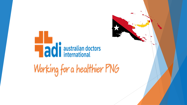# **Hadi** australian doctors

Working for a healthier PNG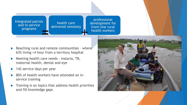Integrated patrols and in-service programs

health care delivered remotely

professional development for front-line rural health workers

- Reaching rural and remote communities where 63% living >4 hour from a territory hospital
- Meeting health care needs malaria, TB, maternal health, dental and eye
- 142 service days per year
- 80% of health workers have attended an inservice training
- Training is on topics that address health priorities and fill knowledge gaps

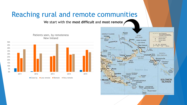# Reaching rural and remote communities

We start with the **most difficult** and **most remote**



Patients seen, by remoteness

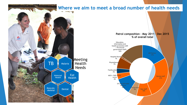#### **Where we aim to meet a broad number of health needs**



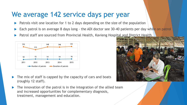## We average 142 service days per year

- Patrols visit one location for 1 to 2 days depending on the size of the population
- Each patrol is on average 8 days long the ADI doctor see 30-40 patients per day while on patrol
- Patrol staff are sourced from Provincial Health, Kavieng Hospital and District Health



- The mix of staff is capped by the capacity of cars and boats (roughly 12 staff).
- $\blacktriangleright$  The innovation of the patrol is in the integration of the allied team and increased opportunities for complementary diagnosis, treatment, management and education.

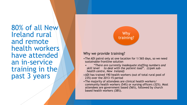80% of all New Ireland rural and remote health workers have attended an in-service training in the past 3 years



#### Why we provide training?

- •The ADI patrol only at one location for 1/365 days, so we need sustainable frontline solution
- *"There are currently inadequate staffing numbers and skill level to deal with the patient load". (Lipek subhealth centre, New Ireland)*
- •ADI has trained 190 health workers (out of total rural pool of 235) over the 2013-15 period
- •The majority of attendees are clinical health workers/ community health workers (54%) or nursing officers (32%). Most attendees are government based (56%), followed by church based health workers (38%).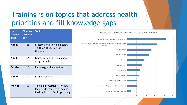# Training is on topics that address health priorities and fill knowledge gaps

| $In-$<br>service<br>date | <b>Number</b><br>attende<br>$es*$ | <b>Topic</b>                                                                                           |
|--------------------------|-----------------------------------|--------------------------------------------------------------------------------------------------------|
| Apr-13                   | 68                                | Maternal health, child health,<br>TB, HIV/AIDS, STIs, drug<br>therapies                                |
| Apr-14                   | 64                                | Maternal health, TB, malaria,<br>drug therapies                                                        |
| <b>Sep-14</b>            | 18                                | Pathology and lab methods                                                                              |
| <b>Apr-15</b>            | 12                                | <b>Family planning</b>                                                                                 |
| $May-15$                 | 51                                | TB, child protection, HIV/AIDS,<br>lifestyle diseases, hygiene and<br>healthy islands, family planning |

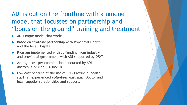### ADI is out on the frontline with a unique model that focusses on partnership and "boots on the ground" training and treatment

- ADI unique model that works
- Based on strategic partnership with Provincial Health and the local Hospital
- $\triangleright$  Program implemented with co-funding from industry and provincial government with ADI supported by DFAT
- Average cost per examination conducted by ADI doctors is 22 kina (~AUD\$10)
- Low cost because of the use of PNG Provincial health staff, an experienced *volunteer* Australian Doctor and local supplier relationships and support.